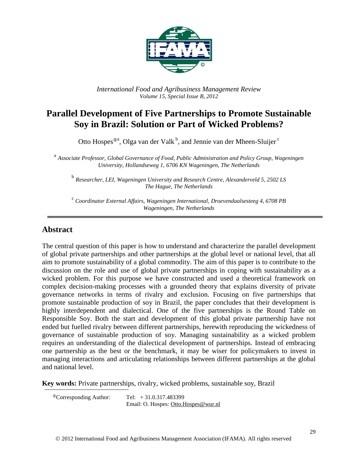

*International Food and Agribusiness Management Review Volume 15, Special Issue B, 2012*

# **Parallel Development of Five Partnerships to Promote Sustainable Soy in Brazil: Solution or Part of Wicked Problems?**

Otto Hospes<sup>®a</sup>, Olga van der Valk<sup>b</sup>, and Jennie van der Mheen-Sluijer<sup>c</sup>

a *Associate Professor, Global Governance of Food, Public Administration and Policy Group, Wageningen University, Hollandseweg 1, 6706 KN Wageningen, The Netherlands*

b *Researcher, LEI, Wageningen University and Research Centre, Alexanderveld 5, 2502 LS The Hague, The Netherlands*

<sup>c</sup> Coordinator External Affairs, Wageningen International, Droevendaalsesteeg 4, 6708 PB *Wageningen, The Netherlands*

### **Abstract**

The central question of this paper is how to understand and characterize the parallel development of global private partnerships and other partnerships at the global level or national level, that all aim to promote sustainability of a global commodity. The aim of this paper is to contribute to the discussion on the role and use of global private partnerships in coping with sustainability as a wicked problem. For this purpose we have constructed and used a theoretical framework on complex decision-making processes with a grounded theory that explains diversity of private governance networks in terms of rivalry and exclusion. Focusing on five partnerships that promote sustainable production of soy in Brazil, the paper concludes that their development is highly interdependent and dialectical. One of the five partnerships is the Round Table on Responsible Soy. Both the start and development of this global private partnership have not ended but fuelled rivalry between different partnerships, herewith reproducing the wickedness of governance of sustainable production of soy. Managing sustainability as a wicked problem requires an understanding of the dialectical development of partnerships. Instead of embracing one partnership as the best or the benchmark, it may be wiser for policymakers to invest in managing interactions and articulating relationships between different partnerships at the global and national level.

**Key words:** Private partnerships, rivalry, wicked problems, sustainable soy, Brazil

 ${}^{\circ}$ Corresponding Author: Tel:  $+31.0.317.483399$ Email: O. Hospes: [Otto.Hospes@wur.nl](mailto:Otto.Hospes@wur.nl)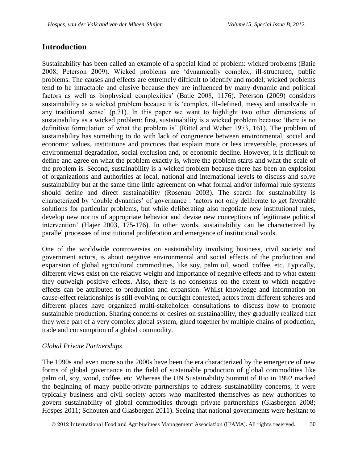### **Introduction**

Sustainability has been called an example of a special kind of problem: wicked problems (Batie 2008; Peterson 2009). Wicked problems are 'dynamically complex, ill-structured, public problems. The causes and effects are extremely difficult to identify and model; wicked problems tend to be intractable and elusive because they are influenced by many dynamic and political factors as well as biophysical complexities' (Batie 2008, 1176). Peterson (2009) considers sustainability as a wicked problem because it is 'complex, ill-defined, messy and unsolvable in any traditional sense' (p.71). In this paper we want to highlight two other dimensions of sustainability as a wicked problem: first, sustainability is a wicked problem because 'there is no definitive formulation of what the problem is' (Rittel and Weber 1973, 161). The problem of sustainability has something to do with lack of congruence between environmental, social and economic values, institutions and practices that explain more or less irreversible, processes of environmental degradation, social exclusion and, or economic decline. However, it is difficult to define and agree on what the problem exactly is, where the problem starts and what the scale of the problem is. Second, sustainability is a wicked problem because there has been an explosion of organizations and authorities at local, national and international levels to discuss and solve sustainability but at the same time little agreement on what formal and/or informal rule systems should define and direct sustainability (Rosenau 2003). The search for sustainability is characterized by 'double dynamics' of governance : 'actors not only deliberate to get favorable solutions for particular problems, but while deliberating also negotiate new institutional rules, develop new norms of appropriate behavior and devise new conceptions of legitimate political intervention' (Hajer 2003, 175-176). In other words, sustainability can be characterized by parallel processes of institutional proliferation and emergence of institutional voids.

One of the worldwide controversies on sustainability involving business, civil society and government actors, is about negative environmental and social effects of the production and expansion of global agricultural commodities, like soy, palm oil, wood, coffee, etc. Typically, different views exist on the relative weight and importance of negative effects and to what extent they outweigh positive effects. Also, there is no consensus on the extent to which negative effects can be attributed to production and expansion. Whilst knowledge and information on cause-effect relationships is still evolving or outright contested, actors from different spheres and different places have organized multi-stakeholder consultations to discuss how to promote sustainable production. Sharing concerns or desires on sustainability, they gradually realized that they were part of a very complex global system, glued together by multiple chains of production, trade and consumption of a global commodity.

### *Global Private Partnerships*

The 1990s and even more so the 2000s have been the era characterized by the emergence of new forms of global governance in the field of sustainable production of global commodities like palm oil, soy, wood, coffee, etc. Whereas the UN Sustainability Summit of Rio in 1992 marked the beginning of many public-private partnerships to address sustainability concerns, it were typically business and civil society actors who manifested themselves as new authorities to govern sustainability of global commodities through private partnerships (Glasbergen 2008; Hospes 2011; Schouten and Glasbergen 2011). Seeing that national governments were hesitant to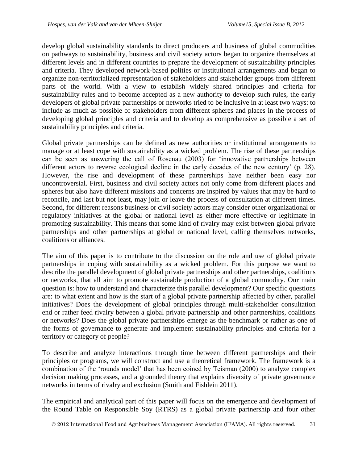develop global sustainability standards to direct producers and business of global commodities on pathways to sustainability, business and civil society actors began to organize themselves at different levels and in different countries to prepare the development of sustainability principles and criteria. They developed network-based polities or institutional arrangements and began to organize non-territorialized representation of stakeholders and stakeholder groups from different parts of the world. With a view to establish widely shared principles and criteria for sustainability rules and to become accepted as a new authority to develop such rules, the early developers of global private partnerships or networks tried to be inclusive in at least two ways: to include as much as possible of stakeholders from different spheres and places in the process of developing global principles and criteria and to develop as comprehensive as possible a set of sustainability principles and criteria.

Global private partnerships can be defined as new authorities or institutional arrangements to manage or at least cope with sustainability as a wicked problem. The rise of these partnerships can be seen as answering the call of Rosenau (2003) for 'innovative partnerships between different actors to reverse ecological decline in the early decades of the new century' (p. 28). However, the rise and development of these partnerships have neither been easy nor uncontroversial. First, business and civil society actors not only come from different places and spheres but also have different missions and concerns are inspired by values that may be hard to reconcile, and last but not least, may join or leave the process of consultation at different times. Second, for different reasons business or civil society actors may consider other organizational or regulatory initiatives at the global or national level as either more effective or legitimate in promoting sustainability. This means that some kind of rivalry may exist between global private partnerships and other partnerships at global or national level, calling themselves networks, coalitions or alliances.

The aim of this paper is to contribute to the discussion on the role and use of global private partnerships in coping with sustainability as a wicked problem. For this purpose we want to describe the parallel development of global private partnerships and other partnerships, coalitions or networks, that all aim to promote sustainable production of a global commodity. Our main question is: how to understand and characterize this parallel development? Our specific questions are: to what extent and how is the start of a global private partnership affected by other, parallel initiatives? Does the development of global principles through multi-stakeholder consultation end or rather feed rivalry between a global private partnership and other partnerships, coalitions or networks? Does the global private partnerships emerge as the benchmark or rather as one of the forms of governance to generate and implement sustainability principles and criteria for a territory or category of people?

To describe and analyze interactions through time between different partnerships and their principles or programs, we will construct and use a theoretical framework. The framework is a combination of the 'rounds model' that has been coined by Teisman (2000) to analyze complex decision making processes, and a grounded theory that explains diversity of private governance networks in terms of rivalry and exclusion (Smith and Fishlein 2011).

The empirical and analytical part of this paper will focus on the emergence and development of the Round Table on Responsible Soy (RTRS) as a global private partnership and four other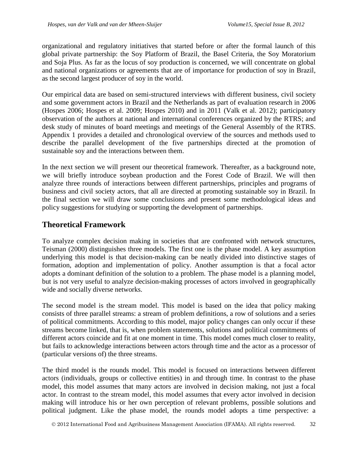organizational and regulatory initiatives that started before or after the formal launch of this global private partnership: the Soy Platform of Brazil, the Basel Criteria, the Soy Moratorium and Soja Plus. As far as the locus of soy production is concerned, we will concentrate on global and national organizations or agreements that are of importance for production of soy in Brazil, as the second largest producer of soy in the world.

Our empirical data are based on semi-structured interviews with different business, civil society and some government actors in Brazil and the Netherlands as part of evaluation research in 2006 (Hospes 2006; Hospes et al. 2009; Hospes 2010) and in 2011 (Valk et al. 2012); participatory observation of the authors at national and international conferences organized by the RTRS; and desk study of minutes of board meetings and meetings of the General Assembly of the RTRS. Appendix 1 provides a detailed and chronological overview of the sources and methods used to describe the parallel development of the five partnerships directed at the promotion of sustainable soy and the interactions between them.

In the next section we will present our theoretical framework. Thereafter, as a background note, we will briefly introduce soybean production and the Forest Code of Brazil. We will then analyze three rounds of interactions between different partnerships, principles and programs of business and civil society actors, that all are directed at promoting sustainable soy in Brazil. In the final section we will draw some conclusions and present some methodological ideas and policy suggestions for studying or supporting the development of partnerships.

## **Theoretical Framework**

To analyze complex decision making in societies that are confronted with network structures, Teisman (2000) distinguishes three models. The first one is the phase model. A key assumption underlying this model is that decision-making can be neatly divided into distinctive stages of formation, adoption and implementation of policy. Another assumption is that a focal actor adopts a dominant definition of the solution to a problem. The phase model is a planning model, but is not very useful to analyze decision-making processes of actors involved in geographically wide and socially diverse networks.

The second model is the stream model. This model is based on the idea that policy making consists of three parallel streams: a stream of problem definitions, a row of solutions and a series of political commitments. According to this model, major policy changes can only occur if these streams become linked, that is, when problem statements, solutions and political commitments of different actors coincide and fit at one moment in time. This model comes much closer to reality, but fails to acknowledge interactions between actors through time and the actor as a processor of (particular versions of) the three streams.

The third model is the rounds model. This model is focused on interactions between different actors (individuals, groups or collective entities) in and through time. In contrast to the phase model, this model assumes that many actors are involved in decision making, not just a focal actor. In contrast to the stream model, this model assumes that every actor involved in decision making will introduce his or her own perception of relevant problems, possible solutions and political judgment. Like the phase model, the rounds model adopts a time perspective: a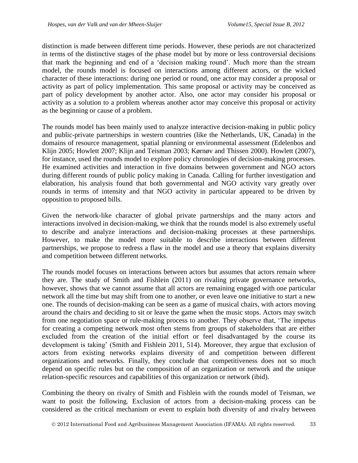distinction is made between different time periods. However, these periods are not characterized in terms of the distinctive stages of the phase model but by more or less controversial decisions that mark the beginning and end of a 'decision making round'. Much more than the stream model, the rounds model is focused on interactions among different actors, or the wicked character of these interactions: during one period or round, one actor may consider a proposal or activity as part of policy implementation. This same proposal or activity may be conceived as part of policy development by another actor. Also, one actor may consider his proposal or activity as a solution to a problem whereas another actor may conceive this proposal or activity as the beginning or cause of a problem.

The rounds model has been mainly used to analyze interactive decision-making in public policy and public-private partnerships in western countries (like the Netherlands, UK, Canada) in the domains of resource management, spatial planning or environmental assessment (Edelenbos and Klijn 2005; Howlett 2007; Klijn and Teisman 2003; Kørnøv and Thissen 2000). Howlett (2007), for instance, used the rounds model to explore policy chronologies of decision-making processes. He examined activities and interaction in five domains between government and NGO actors during different rounds of public policy making in Canada. Calling for further investigation and elaboration, his analysis found that both governmental and NGO activity vary greatly over rounds in terms of intensity and that NGO activity in particular appeared to be driven by opposition to proposed bills.

Given the network-like character of global private partnerships and the many actors and interactions involved in decision-making, we think that the rounds model is also extremely useful to describe and analyze interactions and decision-making processes at these partnerships. However, to make the model more suitable to describe interactions between different partnerships, we propose to redress a flaw in the model and use a theory that explains diversity and competition between different networks.

The rounds model focuses on interactions between actors but assumes that actors remain where they are. The study of Smith and Fishlein (2011) on rivaling private governance networks, however, shows that we cannot assume that all actors are remaining engaged with one particular network all the time but may shift from one to another, or even leave one initiative to start a new one. The rounds of decision-making can be seen as a game of musical chairs, with actors moving around the chairs and deciding to sit or leave the game when the music stops. Actors may switch from one negotiation space or rule-making process to another. They observe that, 'The impetus for creating a competing network most often stems from groups of stakeholders that are either excluded from the creation of the initial effort or feel disadvantaged by the course its development is taking' (Smith and Fishlein 2011, 514). Moreover, they argue that exclusion of actors from existing networks explains diversity of and competition between different organizations and networks. Finally, they conclude that competitiveness does not so much depend on specific rules but on the composition of an organization or network and the unique relation-specific resources and capabilities of this organization or network (ibid).

Combining the theory on rivalry of Smith and Fishlein with the rounds model of Teisman, we want to posit the following. Exclusion of actors from a decision-making process can be considered as the critical mechanism or event to explain both diversity of and rivalry between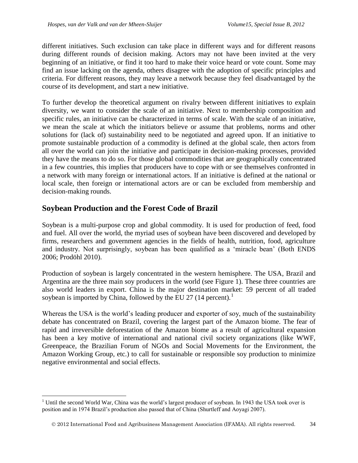different initiatives. Such exclusion can take place in different ways and for different reasons during different rounds of decision making. Actors may not have been invited at the very beginning of an initiative, or find it too hard to make their voice heard or vote count. Some may find an issue lacking on the agenda, others disagree with the adoption of specific principles and criteria. For different reasons, they may leave a network because they feel disadvantaged by the course of its development, and start a new initiative.

To further develop the theoretical argument on rivalry between different initiatives to explain diversity, we want to consider the scale of an initiative. Next to membership composition and specific rules, an initiative can be characterized in terms of scale. With the scale of an initiative, we mean the scale at which the initiators believe or assume that problems, norms and other solutions for (lack of) sustainability need to be negotiated and agreed upon. If an initiative to promote sustainable production of a commodity is defined at the global scale, then actors from all over the world can join the initiative and participate in decision-making processes, provided they have the means to do so. For those global commodities that are geographically concentrated in a few countries, this implies that producers have to cope with or see themselves confronted in a network with many foreign or international actors. If an initiative is defined at the national or local scale, then foreign or international actors are or can be excluded from membership and decision-making rounds.

# **Soybean Production and the Forest Code of Brazil**

 $\overline{a}$ 

Soybean is a multi-purpose crop and global commodity. It is used for production of feed, food and fuel. All over the world, the myriad uses of soybean have been discovered and developed by firms, researchers and government agencies in the fields of health, nutrition, food, agriculture and industry. Not surprisingly, soybean has been qualified as a 'miracle bean' (Both ENDS 2006; Prodöhl 2010).

Production of soybean is largely concentrated in the western hemisphere. The USA, Brazil and Argentina are the three main soy producers in the world (see Figure 1). These three countries are also world leaders in export. China is the major destination market: 59 percent of all traded soybean is imported by China, followed by the EU 27 (14 percent).<sup>1</sup>

Whereas the USA is the world's leading producer and exporter of soy, much of the sustainability debate has concentrated on Brazil, covering the largest part of the Amazon biome. The fear of rapid and irreversible deforestation of the Amazon biome as a result of agricultural expansion has been a key motive of international and national civil society organizations (like WWF, Greenpeace, the Brazilian Forum of NGOs and Social Movements for the Environment, the Amazon Working Group, etc.) to call for sustainable or responsible soy production to minimize negative environmental and social effects.

<sup>&</sup>lt;sup>1</sup> Until the second World War, China was the world's largest producer of soybean. In 1943 the USA took over is position and in 1974 Brazil's production also passed that of China (Shurtleff and Aoyagi 2007).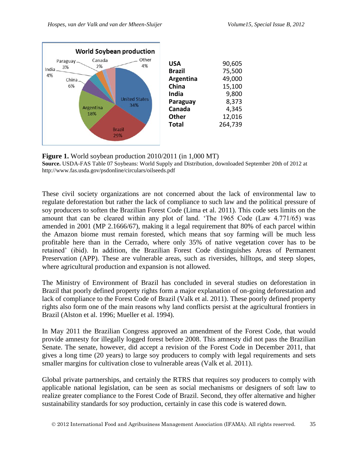

**Figure 1.** World soybean production 2010/2011 (in 1,000 MT) **Source.** USDA-FAS Table 07 Soybeans: World Supply and Distribution, downloaded September 20th of 2012 at http://www.fas.usda.gov/psdonline/circulars/oilseeds.pdf

These civil society organizations are not concerned about the lack of environmental law to regulate deforestation but rather the lack of compliance to such law and the political pressure of soy producers to soften the Brazilian Forest Code (Lima et al. 2011). This code sets limits on the amount that can be cleared within any plot of land. 'The 1965 Code (Law 4.771/65) was amended in 2001 (MP 2.1666/67), making it a legal requirement that 80% of each parcel within the Amazon biome must remain forested, which means that soy farming will be much less profitable here than in the Cerrado, where only 35% of native vegetation cover has to be retained' (ibid). In addition, the Brazilian Forest Code distinguishes Areas of Permanent Preservation (APP). These are vulnerable areas, such as riversides, hilltops, and steep slopes, where agricultural production and expansion is not allowed.

The Ministry of Environment of Brazil has concluded in several studies on deforestation in Brazil that poorly defined property rights form a major explanation of on-going deforestation and lack of compliance to the Forest Code of Brazil (Valk et al. 2011). These poorly defined property rights also form one of the main reasons why land conflicts persist at the agricultural frontiers in Brazil (Alston et al. 1996; Mueller et al. 1994).

In May 2011 the Brazilian Congress approved an amendment of the Forest Code, that would provide amnesty for illegally logged forest before 2008. This amnesty did not pass the Brazilian Senate. The senate, however, did accept a revision of the Forest Code in December 2011, that gives a long time (20 years) to large soy producers to comply with legal requirements and sets smaller margins for cultivation close to vulnerable areas (Valk et al. 2011).

Global private partnerships, and certainly the RTRS that requires soy producers to comply with applicable national legislation, can be seen as social mechanisms or designers of soft law to realize greater compliance to the Forest Code of Brazil. Second, they offer alternative and higher sustainability standards for soy production, certainly in case this code is watered down.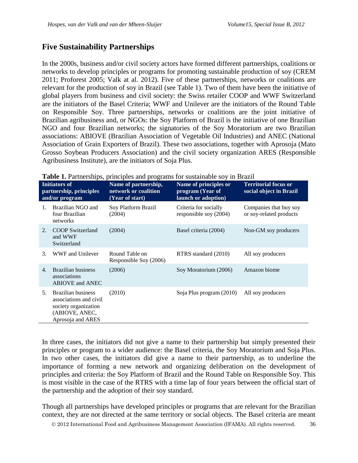## **Five Sustainability Partnerships**

In the 2000s, business and/or civil society actors have formed different partnerships, coalitions or networks to develop principles or programs for promoting sustainable production of soy (CREM 2011; Proforest 2005; Valk at al. 2012). Five of these partnerships, networks or coalitions are relevant for the production of soy in Brazil (see Table 1). Two of them have been the initiative of global players from business and civil society: the Swiss retailer COOP and WWF Switzerland are the initiators of the Basel Criteria; WWF and Unilever are the initiators of the Round Table on Responsible Soy. Three partnerships, networks or coalitions are the joint initiative of Brazilian agribusiness and, or NGOs: the Soy Platform of Brazil is the initiative of one Brazilian NGO and four Brazilian networks; the signatories of the Soy Moratorium are two Brazilian associations: ABIOVE (Brazilian Association of Vegetable Oil Industries) and ANEC (National Association of Grain Exporters of Brazil). These two associations, together with Aprosoja (Mato Grosso Soybean Producers Association) and the civil society organization ARES (Responsible Agribusiness Institute), are the initiators of Soja Plus.

| <b>Initiators of</b><br>partnership, principles<br>and/or program |                                                                                                                    | Name of partnership,<br>network or coalition<br>(Year of start) | Name of principles or<br>program (Year of<br>launch or adoption) | <b>Territorial focus or</b><br>social object in Brazil |
|-------------------------------------------------------------------|--------------------------------------------------------------------------------------------------------------------|-----------------------------------------------------------------|------------------------------------------------------------------|--------------------------------------------------------|
| $\mathbf{1}$                                                      | Brazilian NGO and<br>four Brazilian<br>networks                                                                    | Soy Platform Brazil<br>(2004)                                   | Criteria for socially<br>responsible soy (2004)                  | Companies that buy soy<br>or soy-related products      |
| 2.                                                                | <b>COOP</b> Switzerland<br>and WWF<br>Switzerland                                                                  | (2004)                                                          | Basel criteria (2004)                                            | Non-GM soy producers                                   |
| 3.                                                                | WWF and Unilever                                                                                                   | Round Table on<br>Responsible Soy (2006)                        | RTRS standard (2010)                                             | All soy producers                                      |
| 4.                                                                | Brazilian business<br>associations<br><b>ABIOVE and ANEC</b>                                                       | (2006)                                                          | Soy Moratorium (2006)                                            | Amazon biome                                           |
| 5.                                                                | <b>Brazilian business</b><br>associations and civil<br>society organization<br>(ABIOVE, ANEC,<br>Aprosoja and ARES | (2010)                                                          | Soja Plus program (2010)                                         | All soy producers                                      |

**Table 1.** Partnerships, principles and programs for sustainable soy in Brazil

In three cases, the initiators did not give a name to their partnership but simply presented their principles or program to a wider audience: the Basel criteria, the Soy Moratorium and Soja Plus. In two other cases, the initiators did give a name to their partnership, as to underline the importance of forming a new network and organizing deliberation on the development of principles and criteria: the Soy Platform of Brazil and the Round Table on Responsible Soy. This is most visible in the case of the RTRS with a time lap of four years between the official start of the partnership and the adoption of their soy standard.

Though all partnerships have developed principles or programs that are relevant for the Brazilian context, they are not directed at the same territory or social objects. The Basel criteria are meant

2012 International Food and Agribusiness Management Association (IFAMA). All rights reserved. 36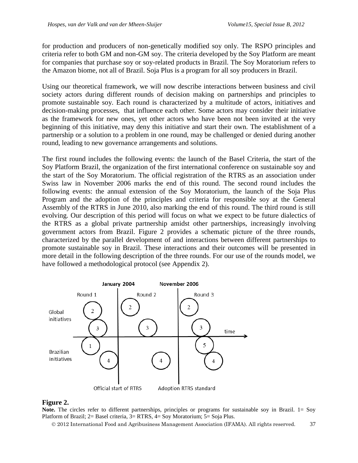for production and producers of non-genetically modified soy only. The RSPO principles and criteria refer to both GM and non-GM soy. The criteria developed by the Soy Platform are meant for companies that purchase soy or soy-related products in Brazil. The Soy Moratorium refers to the Amazon biome, not all of Brazil. Soja Plus is a program for all soy producers in Brazil.

Using our theoretical framework, we will now describe interactions between business and civil society actors during different rounds of decision making on partnerships and principles to promote sustainable soy. Each round is characterized by a multitude of actors, initiatives and decision-making processes, that influence each other. Some actors may consider their initiative as the framework for new ones, yet other actors who have been not been invited at the very beginning of this initiative, may deny this initiative and start their own. The establishment of a partnership or a solution to a problem in one round, may be challenged or denied during another round, leading to new governance arrangements and solutions.

The first round includes the following events: the launch of the Basel Criteria, the start of the Soy Platform Brazil, the organization of the first international conference on sustainable soy and the start of the Soy Moratorium. The official registration of the RTRS as an association under Swiss law in November 2006 marks the end of this round. The second round includes the following events: the annual extension of the Soy Moratorium, the launch of the Soja Plus Program and the adoption of the principles and criteria for responsible soy at the General Assembly of the RTRS in June 2010, also marking the end of this round. The third round is still evolving. Our description of this period will focus on what we expect to be future dialectics of the RTRS as a global private partnership amidst other partnerships, increasingly involving government actors from Brazil. Figure 2 provides a schematic picture of the three rounds, characterized by the parallel development of and interactions between different partnerships to promote sustainable soy in Brazil. These interactions and their outcomes will be presented in more detail in the following description of the three rounds. For our use of the rounds model, we have followed a methodological protocol (see Appendix 2).



### **Figure 2.**

**Note.** The circles refer to different partnerships, principles or programs for sustainable soy in Brazil. 1= Soy Platform of Brazil; 2= Basel criteria, 3= RTRS, 4= Soy Moratorium; 5= Soja Plus.

2012 International Food and Agribusiness Management Association (IFAMA). All rights reserved. 37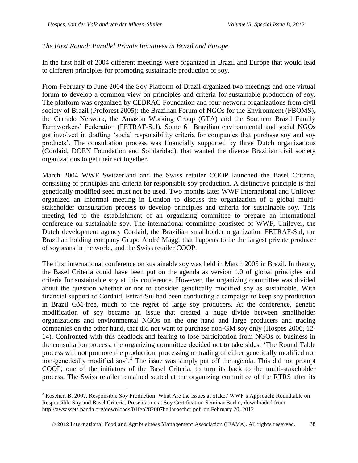$\overline{a}$ 

### *The First Round: Parallel Private Initiatives in Brazil and Europe*

In the first half of 2004 different meetings were organized in Brazil and Europe that would lead to different principles for promoting sustainable production of soy.

From February to June 2004 the Soy Platform of Brazil organized two meetings and one virtual forum to develop a common view on principles and criteria for sustainable production of soy. The platform was organized by CEBRAC Foundation and four network organizations from civil society of Brazil (Proforest 2005): the Brazilian Forum of NGOs for the Environment (FBOMS), the Cerrado Network, the Amazon Working Group (GTA) and the Southern Brazil Family Farmworkers' Federation (FETRAF-Sul). Some 61 Brazilian environmental and social NGOs got involved in drafting 'social responsibility criteria for companies that purchase soy and soy products'. The consultation process was financially supported by three Dutch organizations (Cordaid, DOEN Foundation and Solidaridad), that wanted the diverse Brazilian civil society organizations to get their act together.

March 2004 WWF Switzerland and the Swiss retailer COOP launched the Basel Criteria, consisting of principles and criteria for responsible soy production. A distinctive principle is that genetically modified seed must not be used. Two months later WWF International and Unilever organized an informal meeting in London to discuss the organization of a global multistakeholder consultation process to develop principles and criteria for sustainable soy. This meeting led to the establishment of an organizing committee to prepare an international conference on sustainable soy. The international committee consisted of WWF, Unilever, the Dutch development agency Cordaid, the Brazilian smallholder organization FETRAF-Sul, the Brazilian holding company Grupo André Maggi that happens to be the largest private producer of soybeans in the world, and the Swiss retailer COOP.

The first international conference on sustainable soy was held in March 2005 in Brazil. In theory, the Basel Criteria could have been put on the agenda as version 1.0 of global principles and criteria for sustainable soy at this conference. However, the organizing committee was divided about the question whether or not to consider genetically modified soy as sustainable. With financial support of Cordaid, Fetraf-Sul had been conducting a campaign to keep soy production in Brazil GM-free, much to the regret of large soy producers. At the conference, genetic modification of soy became an issue that created a huge divide between smallholder organizations and environmental NGOs on the one hand and large producers and trading companies on the other hand, that did not want to purchase non-GM soy only (Hospes 2006, 12- 14). Confronted with this deadlock and fearing to lose participation from NGOs or business in the consultation process, the organizing committee decided not to take sides: 'The Round Table process will not promote the production, processing or trading of either genetically modified nor non-genetically modified soy<sup>'</sup>.<sup>2</sup> The issue was simply put off the agenda. This did not prompt COOP, one of the initiators of the Basel Criteria, to turn its back to the multi-stakeholder process. The Swiss retailer remained seated at the organizing committee of the RTRS after its

<sup>&</sup>lt;sup>2</sup> Roscher, B. 2007. Responsible Soy Production: What Are the Issues at Stake? WWF's Approach: Roundtable on Responsible Soy and Basel Criteria. Presentation at Soy Certification Seminar Berlin, downloaded from <http://awsassets.panda.org/downloads/01feb282007bellaroscher.pdf>on February 20, 2012.

2012 International Food and Agribusiness Management Association (IFAMA). All rights reserved. 38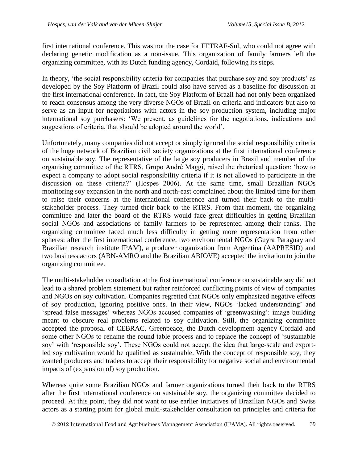first international conference. This was not the case for FETRAF-Sul, who could not agree with declaring genetic modification as a non-issue. This organization of family farmers left the organizing committee, with its Dutch funding agency, Cordaid, following its steps.

In theory, 'the social responsibility criteria for companies that purchase soy and soy products' as developed by the Soy Platform of Brazil could also have served as a baseline for discussion at the first international conference. In fact, the Soy Platform of Brazil had not only been organized to reach consensus among the very diverse NGOs of Brazil on criteria and indicators but also to serve as an input for negotiations with actors in the soy production system, including major international soy purchasers: 'We present, as guidelines for the negotiations, indications and suggestions of criteria, that should be adopted around the world'.

Unfortunately, many companies did not accept or simply ignored the social responsibility criteria of the huge network of Brazilian civil society organizations at the first international conference on sustainable soy. The representative of the large soy producers in Brazil and member of the organising committee of the RTRS, Grupo André Maggi, raised the rhetorical question: 'how to expect a company to adopt social responsibility criteria if it is not allowed to participate in the discussion on these criteria?' (Hospes 2006). At the same time, small Brazilian NGOs monitoring soy expansion in the north and north-east complained about the limited time for them to raise their concerns at the international conference and turned their back to the multistakeholder process. They turned their back to the RTRS. From that moment, the organizing committee and later the board of the RTRS would face great difficulties in getting Brazilian social NGOs and associations of family farmers to be represented among their ranks. The organizing committee faced much less difficulty in getting more representation from other spheres: after the first international conference, two environmental NGOs (Guyra Paraguay and Brazilian research institute IPAM), a producer organization from Argentina (AAPRESID) and two business actors (ABN-AMRO and the Brazilian ABIOVE) accepted the invitation to join the organizing committee.

The multi-stakeholder consultation at the first international conference on sustainable soy did not lead to a shared problem statement but rather reinforced conflicting points of view of companies and NGOs on soy cultivation. Companies regretted that NGOs only emphasized negative effects of soy production, ignoring positive ones. In their view, NGOs 'lacked understanding' and 'spread false messages' whereas NGOs accused companies of 'greenwashing': image building meant to obscure real problems related to soy cultivation. Still, the organizing committee accepted the proposal of CEBRAC, Greenpeace, the Dutch development agency Cordaid and some other NGOs to rename the round table process and to replace the concept of 'sustainable soy' with 'responsible soy'. These NGOs could not accept the idea that large-scale and exportled soy cultivation would be qualified as sustainable. With the concept of responsible soy, they wanted producers and traders to accept their responsibility for negative social and environmental impacts of (expansion of) soy production.

Whereas quite some Brazilian NGOs and farmer organizations turned their back to the RTRS after the first international conference on sustainable soy, the organizing committee decided to proceed. At this point, they did not want to use earlier initiatives of Brazilian NGOs and Swiss actors as a starting point for global multi-stakeholder consultation on principles and criteria for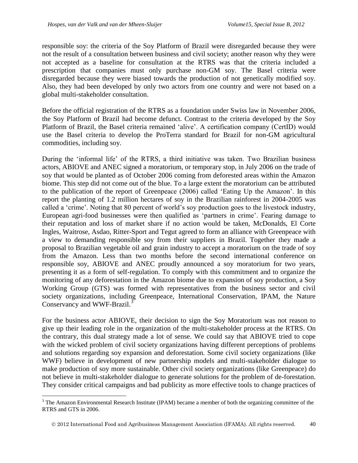$\overline{a}$ 

responsible soy: the criteria of the Soy Platform of Brazil were disregarded because they were not the result of a consultation between business and civil society; another reason why they were not accepted as a baseline for consultation at the RTRS was that the criteria included a prescription that companies must only purchase non-GM soy. The Basel criteria were disregarded because they were biased towards the production of not genetically modified soy. Also, they had been developed by only two actors from one country and were not based on a global multi-stakeholder consultation.

Before the official registration of the RTRS as a foundation under Swiss law in November 2006, the Soy Platform of Brazil had become defunct. Contrast to the criteria developed by the Soy Platform of Brazil, the Basel criteria remained 'alive'. A certification company (CertID) would use the Basel criteria to develop the ProTerra standard for Brazil for non-GM agricultural commodities, including soy.

During the 'informal life' of the RTRS, a third initiative was taken. Two Brazilian business actors, ABIOVE and ANEC signed a moratorium, or temporary stop, in July 2006 on the trade of soy that would be planted as of October 2006 coming from deforested areas within the Amazon biome. This step did not come out of the blue. To a large extent the moratorium can be attributed to the publication of the report of Greenpeace (2006) called 'Eating Up the Amazon'. In this report the planting of 1.2 million hectares of soy in the Brazilian rainforest in 2004-2005 was called a 'crime'. Noting that 80 percent of world's soy production goes to the livestock industry, European agri-food businesses were then qualified as 'partners in crime'. Fearing damage to their reputation and loss of market share if no action would be taken, McDonalds, El Corte Ingles, Waitrose, Asdao, Ritter-Sport and Tegut agreed to form an alliance with Greenpeace with a view to demanding responsible soy from their suppliers in Brazil. Together they made a proposal to Brazilian vegetable oil and grain industry to accept a moratorium on the trade of soy from the Amazon. Less than two months before the second international conference on responsible soy, ABIOVE and ANEC proudly announced a soy moratorium for two years, presenting it as a form of self-regulation. To comply with this commitment and to organize the monitoring of any deforestation in the Amazon biome due to expansion of soy production, a Soy Working Group (GTS) was formed with representatives from the business sector and civil society organizations, including Greenpeace, International Conservation, IPAM, the Nature Conservancy and WWF-Brazil.<sup>3</sup>

For the business actor ABIOVE, their decision to sign the Soy Moratorium was not reason to give up their leading role in the organization of the multi-stakeholder process at the RTRS. On the contrary, this dual strategy made a lot of sense. We could say that ABIOVE tried to cope with the wicked problem of civil society organizations having different perceptions of problems and solutions regarding soy expansion and deforestation. Some civil society organizations (like WWF) believe in development of new partnership models and multi-stakeholder dialogue to make production of soy more sustainable. Other civil society organizations (like Greenpeace) do not believe in multi-stakeholder dialogue to generate solutions for the problem of de-forestation. They consider critical campaigns and bad publicity as more effective tools to change practices of

<sup>&</sup>lt;sup>3</sup> The Amazon Environmental Research Institute (IPAM) became a member of both the organizing committee of the RTRS and GTS in 2006.

2012 International Food and Agribusiness Management Association (IFAMA). All rights reserved. 40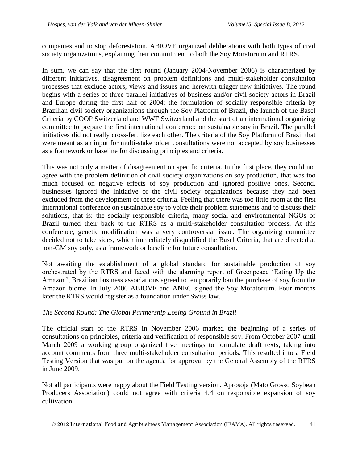companies and to stop deforestation. ABIOVE organized deliberations with both types of civil society organizations, explaining their commitment to both the Soy Moratorium and RTRS.

In sum, we can say that the first round (January 2004-November 2006) is characterized by different initiatives, disagreement on problem definitions and multi-stakeholder consultation processes that exclude actors, views and issues and herewith trigger new initiatives. The round begins with a series of three parallel initiatives of business and/or civil society actors in Brazil and Europe during the first half of 2004: the formulation of socially responsible criteria by Brazilian civil society organizations through the Soy Platform of Brazil, the launch of the Basel Criteria by COOP Switzerland and WWF Switzerland and the start of an international organizing committee to prepare the first international conference on sustainable soy in Brazil. The parallel initiatives did not really cross-fertilize each other. The criteria of the Soy Platform of Brazil that were meant as an input for multi-stakeholder consultations were not accepted by soy businesses as a framework or baseline for discussing principles and criteria.

This was not only a matter of disagreement on specific criteria. In the first place, they could not agree with the problem definition of civil society organizations on soy production, that was too much focused on negative effects of soy production and ignored positive ones. Second, businesses ignored the initiative of the civil society organizations because they had been excluded from the development of these criteria. Feeling that there was too little room at the first international conference on sustainable soy to voice their problem statements and to discuss their solutions, that is: the socially responsible criteria, many social and environmental NGOs of Brazil turned their back to the RTRS as a multi-stakeholder consultation process. At this conference, genetic modification was a very controversial issue. The organizing committee decided not to take sides, which immediately disqualified the Basel Criteria, that are directed at non-GM soy only, as a framework or baseline for future consultation.

Not awaiting the establishment of a global standard for sustainable production of soy orchestrated by the RTRS and faced with the alarming report of Greenpeace 'Eating Up the Amazon', Brazilian business associations agreed to temporarily ban the purchase of soy from the Amazon biome. In July 2006 ABIOVE and ANEC signed the Soy Moratorium. Four months later the RTRS would register as a foundation under Swiss law.

### *The Second Round: The Global Partnership Losing Ground in Brazil*

The official start of the RTRS in November 2006 marked the beginning of a series of consultations on principles, criteria and verification of responsible soy. From October 2007 until March 2009 a working group organized five meetings to formulate draft texts, taking into account comments from three multi-stakeholder consultation periods. This resulted into a Field Testing Version that was put on the agenda for approval by the General Assembly of the RTRS in June 2009.

Not all participants were happy about the Field Testing version. Aprosoja (Mato Grosso Soybean Producers Association) could not agree with criteria 4.4 on responsible expansion of soy cultivation: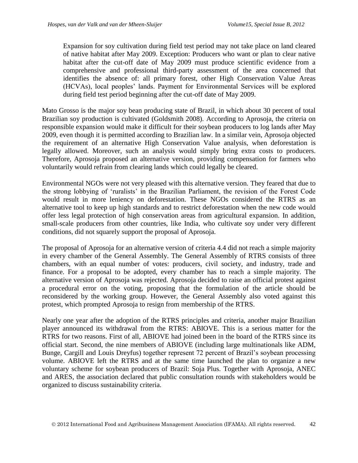Expansion for soy cultivation during field test period may not take place on land cleared of native habitat after May 2009. Exception: Producers who want or plan to clear native habitat after the cut-off date of May 2009 must produce scientific evidence from a comprehensive and professional third-party assessment of the area concerned that identifies the absence of: all primary forest, other High Conservation Value Areas (HCVAs), local peoples' lands. Payment for Environmental Services will be explored during field test period beginning after the cut-off date of May 2009.

Mato Grosso is the major soy bean producing state of Brazil, in which about 30 percent of total Brazilian soy production is cultivated (Goldsmith 2008). According to Aprosoja, the criteria on responsible expansion would make it difficult for their soybean producers to log lands after May 2009, even though it is permitted according to Brazilian law. In a similar vein, Aprosoja objected the requirement of an alternative High Conservation Value analysis, when deforestation is legally allowed. Moreover, such an analysis would simply bring extra costs to producers. Therefore, Aprosoja proposed an alternative version, providing compensation for farmers who voluntarily would refrain from clearing lands which could legally be cleared.

Environmental NGOs were not very pleased with this alternative version. They feared that due to the strong lobbying of 'ruralists' in the Brazilian Parliament, the revision of the Forest Code would result in more leniency on deforestation. These NGOs considered the RTRS as an alternative tool to keep up high standards and to restrict deforestation when the new code would offer less legal protection of high conservation areas from agricultural expansion. In addition, small-scale producers from other countries, like India, who cultivate soy under very different conditions, did not squarely support the proposal of Aprosoja.

The proposal of Aprosoja for an alternative version of criteria 4.4 did not reach a simple majority in every chamber of the General Assembly. The General Assembly of RTRS consists of three chambers, with an equal number of votes: producers, civil society, and industry, trade and finance. For a proposal to be adopted, every chamber has to reach a simple majority. The alternative version of Aprosoja was rejected. Aprosoja decided to raise an official protest against a procedural error on the voting, proposing that the formulation of the article should be reconsidered by the working group. However, the General Assembly also voted against this protest, which prompted Aprosoja to resign from membership of the RTRS.

Nearly one year after the adoption of the RTRS principles and criteria, another major Brazilian player announced its withdrawal from the RTRS: ABIOVE. This is a serious matter for the RTRS for two reasons. First of all, ABIOVE had joined been in the board of the RTRS since its official start. Second, the nine members of ABIOVE (including large multinationals like ADM, Bunge, Cargill and Louis Dreyfus) together represent 72 percent of Brazil's soybean processing volume. ABIOVE left the RTRS and at the same time launched the plan to organize a new voluntary scheme for soybean producers of Brazil: Soja Plus. Together with Aprosoja, ANEC and ARES, the association declared that public consultation rounds with stakeholders would be organized to discuss sustainability criteria.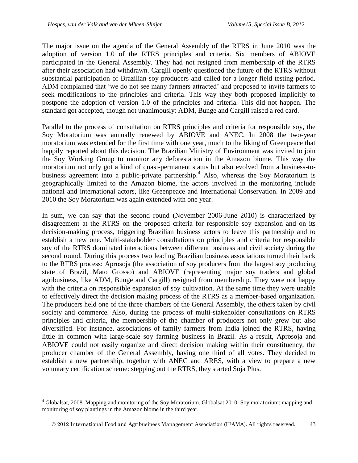$\overline{a}$ 

The major issue on the agenda of the General Assembly of the RTRS in June 2010 was the adoption of version 1.0 of the RTRS principles and criteria. Six members of ABIOVE participated in the General Assembly. They had not resigned from membership of the RTRS after their association had withdrawn. Cargill openly questioned the future of the RTRS without substantial participation of Brazilian soy producers and called for a longer field testing period. ADM complained that 'we do not see many farmers attracted' and proposed to invite farmers to seek modifications to the principles and criteria. This way they both proposed implicitly to postpone the adoption of version 1.0 of the principles and criteria. This did not happen. The standard got accepted, though not unanimously: ADM, Bunge and Cargill raised a red card.

Parallel to the process of consultation on RTRS principles and criteria for responsible soy, the Soy Moratorium was annually renewed by ABIOVE and ANEC. In 2008 the two-year moratorium was extended for the first time with one year, much to the liking of Greenpeace that happily reported about this decision. The Brazilian Ministry of Environment was invited to join the Soy Working Group to monitor any deforestation in the Amazon biome. This way the moratorium not only got a kind of quasi-permanent status but also evolved from a business-tobusiness agreement into a public-private partnership.<sup>4</sup> Also, whereas the Soy Moratorium is geographically limited to the Amazon biome, the actors involved in the monitoring include national and international actors, like Greenpeace and International Conservation. In 2009 and 2010 the Soy Moratorium was again extended with one year.

In sum, we can say that the second round (November 2006-June 2010) is characterized by disagreement at the RTRS on the proposed criteria for responsible soy expansion and on its decision-making process, triggering Brazilian business actors to leave this partnership and to establish a new one. Multi-stakeholder consultations on principles and criteria for responsible soy of the RTRS dominated interactions between different business and civil society during the second round. During this process two leading Brazilian business associations turned their back to the RTRS process: Aprosoja (the association of soy producers from the largest soy producing state of Brazil, Mato Grosso) and ABIOVE (representing major soy traders and global agribusiness, like ADM, Bunge and Cargill) resigned from membership. They were not happy with the criteria on responsible expansion of soy cultivation. At the same time they were unable to effectively direct the decision making process of the RTRS as a member-based organization. The producers held one of the three chambers of the General Assembly, the others taken by civil society and commerce. Also, during the process of multi-stakeholder consultations on RTRS principles and criteria, the membership of the chamber of producers not only grew but also diversified. For instance, associations of family farmers from India joined the RTRS, having little in common with large-scale soy farming business in Brazil. As a result, Aprosoja and ABIOVE could not easily organize and direct decision making within their constituency, the producer chamber of the General Assembly, having one third of all votes. They decided to establish a new partnership, together with ANEC and ARES, with a view to prepare a new voluntary certification scheme: stepping out the RTRS, they started Soja Plus.

<sup>4</sup> Globalsat, 2008. Mapping and monitoring of the Soy Moratorium. Globalsat 2010. Soy moratorium: mapping and monitoring of soy plantings in the Amazon biome in the third year.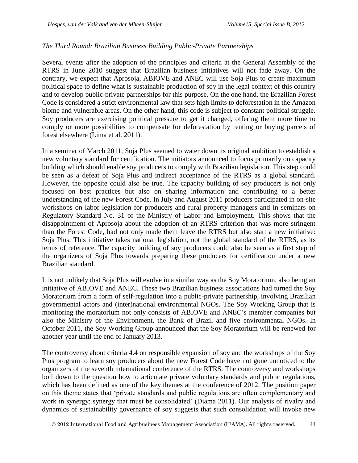### *The Third Round: Brazilian Business Building Public-Private Partnerships*

Several events after the adoption of the principles and criteria at the General Assembly of the RTRS in June 2010 suggest that Brazilian business initiatives will not fade away. On the contrary, we expect that Aprosoja, ABIOVE and ANEC will use Soja Plus to create maximum political space to define what is sustainable production of soy in the legal context of this country and to develop public-private partnerships for this purpose. On the one hand, the Brazilian Forest Code is considered a strict environmental law that sets high limits to deforestation in the Amazon biome and vulnerable areas. On the other hand, this code is subject to constant political struggle. Soy producers are exercising political pressure to get it changed, offering them more time to comply or more possibilities to compensate for deforestation by renting or buying parcels of forest elsewhere (Lima et al. 2011).

In a seminar of March 2011, Soja Plus seemed to water down its original ambition to establish a new voluntary standard for certification. The initiators announced to focus primarily on capacity building which should enable soy producers to comply with Brazilian legislation. This step could be seen as a defeat of Soja Plus and indirect acceptance of the RTRS as a global standard. However, the opposite could also be true. The capacity building of soy producers is not only focused on best practices but also on sharing information and contributing to a better understanding of the new Forest Code. In July and August 2011 producers participated in on-site workshops on labor legislation for producers and rural property managers and in seminars on Regulatory Standard No. 31 of the Ministry of Labor and Employment. This shows that the disappointment of Aprosoja about the adoption of an RTRS criterion that was more stringent than the Forest Code, had not only made them leave the RTRS but also start a new initiative: Soja Plus. This initiative takes national legislation, not the global standard of the RTRS, as its terms of reference. The capacity building of soy producers could also be seen as a first step of the organizers of Soja Plus towards preparing these producers for certification under a new Brazilian standard.

It is not unlikely that Soja Plus will evolve in a similar way as the Soy Moratorium, also being an initiative of ABIOVE and ANEC. These two Brazilian business associations had turned the Soy Moratorium from a form of self-regulation into a public-private partnership, involving Brazilian governmental actors and (inter)national environmental NGOs. The Soy Working Group that is monitoring the moratorium not only consists of ABIOVE and ANEC's member companies but also the Ministry of the Environment, the Bank of Brazil and five environmental NGOs. In October 2011, the Soy Working Group announced that the Soy Moratorium will be renewed for another year until the end of January 2013.

The controversy about criteria 4.4 on responsible expansion of soy and the workshops of the Soy Plus program to learn soy producers about the new Forest Code have not gone unnoticed to the organizers of the seventh international conference of the RTRS. The controversy and workshops boil down to the question how to articulate private voluntary standards and public regulations, which has been defined as one of the key themes at the conference of 2012. The position paper on this theme states that 'private standards and public regulations are often complementary and work in synergy; synergy that must be consolidated' (Djama 2011). Our analysis of rivalry and dynamics of sustainability governance of soy suggests that such consolidation will invoke new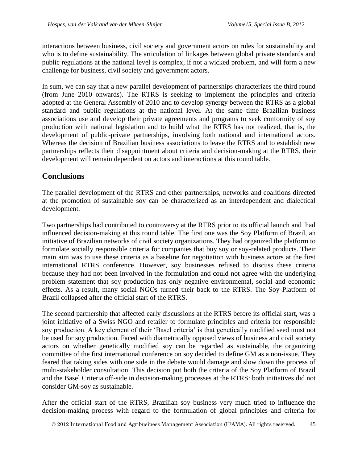interactions between business, civil society and government actors on rules for sustainability and who is to define sustainability. The articulation of linkages between global private standards and public regulations at the national level is complex, if not a wicked problem, and will form a new challenge for business, civil society and government actors.

In sum, we can say that a new parallel development of partnerships characterizes the third round (from June 2010 onwards). The RTRS is seeking to implement the principles and criteria adopted at the General Assembly of 2010 and to develop synergy between the RTRS as a global standard and public regulations at the national level. At the same time Brazilian business associations use and develop their private agreements and programs to seek conformity of soy production with national legislation and to build what the RTRS has not realized, that is, the development of public-private partnerships, involving both national and international actors. Whereas the decision of Brazilian business associations to leave the RTRS and to establish new partnerships reflects their disappointment about criteria and decision-making at the RTRS, their development will remain dependent on actors and interactions at this round table.

# **Conclusions**

The parallel development of the RTRS and other partnerships, networks and coalitions directed at the promotion of sustainable soy can be characterized as an interdependent and dialectical development.

Two partnerships had contributed to controversy at the RTRS prior to its official launch and had influenced decision-making at this round table. The first one was the Soy Platform of Brazil, an initiative of Brazilian networks of civil society organizations. They had organized the platform to formulate socially responsible criteria for companies that buy soy or soy-related products. Their main aim was to use these criteria as a baseline for negotiation with business actors at the first international RTRS conference. However, soy businesses refused to discuss these criteria because they had not been involved in the formulation and could not agree with the underlying problem statement that soy production has only negative environmental, social and economic effects. As a result, many social NGOs turned their back to the RTRS. The Soy Platform of Brazil collapsed after the official start of the RTRS.

The second partnership that affected early discussions at the RTRS before its official start, was a joint initiative of a Swiss NGO and retailer to formulate principles and criteria for responsible soy production. A key element of their 'Basel criteria' is that genetically modified seed must not be used for soy production. Faced with diametrically opposed views of business and civil society actors on whether genetically modified soy can be regarded as sustainable, the organizing committee of the first international conference on soy decided to define GM as a non-issue. They feared that taking sides with one side in the debate would damage and slow down the process of multi-stakeholder consultation. This decision put both the criteria of the Soy Platform of Brazil and the Basel Criteria off-side in decision-making processes at the RTRS: both initiatives did not consider GM-soy as sustainable.

After the official start of the RTRS, Brazilian soy business very much tried to influence the decision-making process with regard to the formulation of global principles and criteria for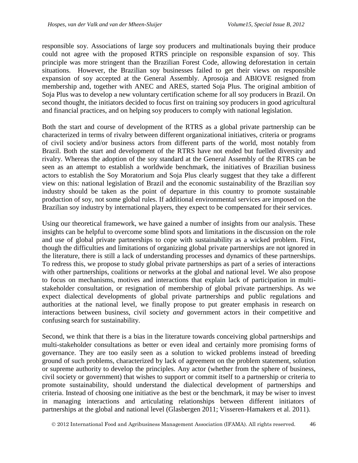responsible soy. Associations of large soy producers and multinationals buying their produce could not agree with the proposed RTRS principle on responsible expansion of soy. This principle was more stringent than the Brazilian Forest Code, allowing deforestation in certain situations. However, the Brazilian soy businesses failed to get their views on responsible expansion of soy accepted at the General Assembly. Aprosoja and ABIOVE resigned from membership and, together with ANEC and ARES, started Soja Plus. The original ambition of Soja Plus was to develop a new voluntary certification scheme for all soy producers in Brazil. On second thought, the initiators decided to focus first on training soy producers in good agricultural and financial practices, and on helping soy producers to comply with national legislation.

Both the start and course of development of the RTRS as a global private partnership can be characterized in terms of rivalry between different organizational initiatives, criteria or programs of civil society and/or business actors from different parts of the world, most notably from Brazil. Both the start and development of the RTRS have not ended but fuelled diversity and rivalry. Whereas the adoption of the soy standard at the General Assembly of the RTRS can be seen as an attempt to establish a worldwide benchmark, the initiatives of Brazilian business actors to establish the Soy Moratorium and Soja Plus clearly suggest that they take a different view on this: national legislation of Brazil and the economic sustainability of the Brazilian soy industry should be taken as the point of departure in this country to promote sustainable production of soy, not some global rules. If additional environmental services are imposed on the Brazilian soy industry by international players, they expect to be compensated for their services.

Using our theoretical framework, we have gained a number of insights from our analysis. These insights can be helpful to overcome some blind spots and limitations in the discussion on the role and use of global private partnerships to cope with sustainability as a wicked problem. First, though the difficulties and limitations of organizing global private partnerships are not ignored in the literature, there is still a lack of understanding processes and dynamics of these partnerships. To redress this, we propose to study global private partnerships as part of a series of interactions with other partnerships, coalitions or networks at the global and national level. We also propose to focus on mechanisms, motives and interactions that explain lack of participation in multistakeholder consultation, or resignation of membership of global private partnerships. As we expect dialectical developments of global private partnerships and public regulations and authorities at the national level, we finally propose to put greater emphasis in research on interactions between business, civil society *and* government actors in their competitive and confusing search for sustainability.

Second, we think that there is a bias in the literature towards conceiving global partnerships and multi-stakeholder consultations as better or even ideal and certainly more promising forms of governance. They are too easily seen as a solution to wicked problems instead of breeding ground of such problems, characterized by lack of agreement on the problem statement, solution or supreme authority to develop the principles. Any actor (whether from the sphere of business, civil society or government) that wishes to support or commit itself to a partnership or criteria to promote sustainability, should understand the dialectical development of partnerships and criteria. Instead of choosing one initiative as the best or the benchmark, it may be wiser to invest in managing interactions and articulating relationships between different initiators of partnerships at the global and national level (Glasbergen 2011; Visseren-Hamakers et al. 2011).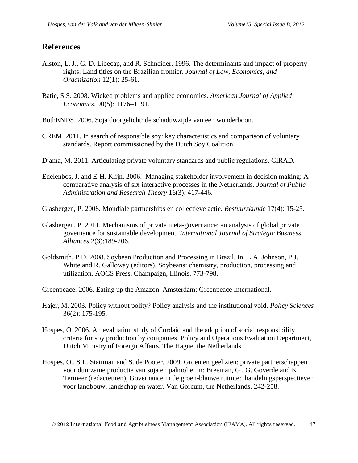### **References**

- Alston, L. J., G. D. Libecap, and R. Schneider. 1996. The determinants and impact of property rights: Land titles on the Brazilian frontier. *Journal of Law, Economics, and Organization* 12(1): 25-61.
- Batie, S.S. 2008. Wicked problems and applied economics. *American Journal of Applied Economics*. 90(5): 1176–1191.
- BothENDS. 2006. Soja doorgelicht: de schaduwzijde van een wonderboon.
- CREM. 2011. In search of responsible soy: key characteristics and comparison of voluntary standards. Report commissioned by the Dutch Soy Coalition.
- Djama, M. 2011. Articulating private voluntary standards and public regulations. CIRAD.
- Edelenbos, J. and E-H. Klijn. 2006. Managing stakeholder involvement in decision making: A comparative analysis of six interactive processes in the Netherlands. *Journal of Public Administration and Research Theory* 16(3): 417-446.
- Glasbergen, P. 2008. Mondiale partnerships en collectieve actie. *Bestuurskunde* 17(4): 15-25.
- Glasbergen, P. 2011. Mechanisms of private meta-governance: an analysis of global private governance for sustainable development. *International Journal of Strategic Business Alliances* 2(3):189-206.
- Goldsmith, P.D. 2008. Soybean Production and Processing in Brazil. In: L.A. Johnson, P.J. White and R. Galloway (editors). Soybeans: chemistry, production, processing and utilization. AOCS Press, Champaign, Illinois. 773-798.

Greenpeace. 2006. Eating up the Amazon. Amsterdam: Greenpeace International.

- Hajer, M. 2003. Policy without polity? Policy analysis and the institutional void. *Policy Sciences*  36(2): 175-195.
- Hospes, O. 2006. An evaluation study of Cordaid and the adoption of social responsibility criteria for soy production by companies. Policy and Operations Evaluation Department, Dutch Ministry of Foreign Affairs, The Hague, the Netherlands.
- Hospes, O., S.L. Stattman and S. de Pooter. 2009. Groen en geel zien: private partnerschappen voor duurzame productie van soja en palmolie. In: Breeman, G., G. Goverde and K. Termeer (redacteuren), Governance in de groen-blauwe ruimte: handelingsperspectieven voor landbouw, landschap en water. Van Gorcum, the Netherlands. 242-258.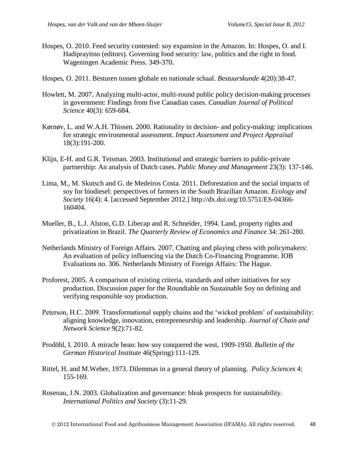- Hospes, O. 2010. Feed security contested: soy expansion in the Amazon. In: Hospes, O. and I. Hadiprayitno (editors). Governing food security: law, politics and the right to food. Wageningen Academic Press. 349-370.
- Hospes, O. 2011. Besturen tussen globale en nationale schaal. *Bestuurskunde* 4(20):38-47.
- Howlett, M. 2007. Analyzing multi-actor, multi-round public policy decision-making processes in government: Findings from five Canadian cases. *Canadian Journal of Political Science* 40(3): 659-684.
- Kørnøv, L. and W.A.H. Thissen. 2000. Rationality in decision- and policy-making: implications for strategic environmental assessment. *Impact Assessment and Project Appraisal* 18(3):191-200.
- Klijn, E-H. and G.R. Teisman. 2003. Institutional and strategic barriers to public-private partnership: An analysis of Dutch cases. *Public Money and Management* 23(3): 137-146.
- Lima, M., M. Skutsch and G. de Medeiros Costa. 2011. Deforestation and the social impacts of soy for biodiesel: perspectives of farmers in the South Brazilian Amazon. *Ecology and Society* 16(4): 4. [accessed September 2012.] http://dx.doi.org/10.5751/ES-04366- 160404.
- Mueller, B., L.J. Alston, G.D. Libecap and R. Schneider, 1994. Land, property rights and privatization in Brazil. *The Quarterly Review of Economics and Finance* 34: 261-280.
- Netherlands Ministry of Foreign Affairs. 2007. Chatting and playing chess with policymakers: An evaluation of policy influencing via the Dutch Co-Financing Programme. IOB Evaluations no. 306. Netherlands Ministry of Foreign Affairs: The Hague.
- Proforest, 2005. A comparison of existing criteria, standards and other initiatives for soy production. Discussion paper for the Roundtable on Sustainable Soy on defining and verifying responsible soy production.
- Peterson, H.C. 2009. Transformational supply chains and the 'wicked problem' of sustainability: aligning knowledge, innovation, entrepreneurship and leadership. *Journal of Chain and Network Science* 9(2):71-82.
- Prodöhl, I. 2010. A miracle bean: how soy conquered the west, 1909-1950. *Bulletin of the German Historical Institute* 46(Spring):111-129.
- Rittel, H. and M.Weber, 1973. Dilemmas in a general theory of planning. *Policy Sciences* 4: 155-169.
- Rosenau, J.N. 2003. Globalization and governance: bleak prospects for sustainability. *International Politics and Society* (3):11-29.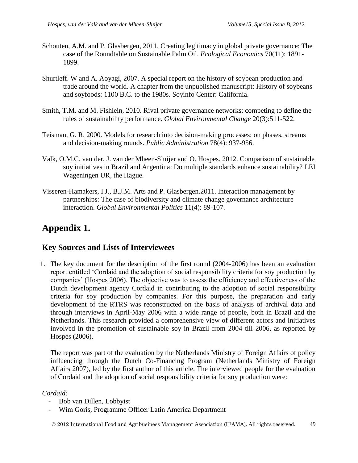- Schouten, A.M. and P. Glasbergen, 2011. Creating legitimacy in global private governance: The case of the Roundtable on Sustainable Palm Oil. *Ecological Economics* 70(11): 1891- 1899.
- Shurtleff. W and A. Aoyagi, 2007. A special report on the history of soybean production and trade around the world. A chapter from the unpublished manuscript: History of soybeans and soyfoods: 1100 B.C. to the 1980s. Soyinfo Center: California.
- Smith, T.M. and M. Fishlein, 2010. Rival private governance networks: competing to define the rules of sustainability performance. *Global Environmental Change* 20(3):511-522.
- Teisman, G. R. 2000. Models for research into decision-making processes: on phases, streams and decision-making rounds. *Public Administration* 78(4): 937-956.
- Valk, O.M.C. van der, J. van der Mheen-Sluijer and O. Hospes. 2012. Comparison of sustainable soy initiatives in Brazil and Argentina: Do multiple standards enhance sustainability? LEI Wageningen UR, the Hague.
- Visseren-Hamakers, I.J., B.J.M. Arts and P. Glasbergen.2011. Interaction management by partnerships: The case of biodiversity and climate change governance architecture interaction. *Global Environmental Politics* 11(4): 89-107.

# **Appendix 1.**

## **Key Sources and Lists of Interviewees**

1. The key document for the description of the first round (2004-2006) has been an evaluation report entitled 'Cordaid and the adoption of social responsibility criteria for soy production by companies' (Hospes 2006). The objective was to assess the efficiency and effectiveness of the Dutch development agency Cordaid in contributing to the adoption of social responsibility criteria for soy production by companies. For this purpose, the preparation and early development of the RTRS was reconstructed on the basis of analysis of archival data and through interviews in April-May 2006 with a wide range of people, both in Brazil and the Netherlands. This research provided a comprehensive view of different actors and initiatives involved in the promotion of sustainable soy in Brazil from 2004 till 2006, as reported by Hospes (2006).

The report was part of the evaluation by the Netherlands Ministry of Foreign Affairs of policy influencing through the Dutch Co-Financing Program (Netherlands Ministry of Foreign Affairs 2007), led by the first author of this article. The interviewed people for the evaluation of Cordaid and the adoption of social responsibility criteria for soy production were:

### *Cordaid:*

- Bob van Dillen, Lobbyist
- Wim Goris, Programme Officer Latin America Department

2012 International Food and Agribusiness Management Association (IFAMA). All rights reserved. 49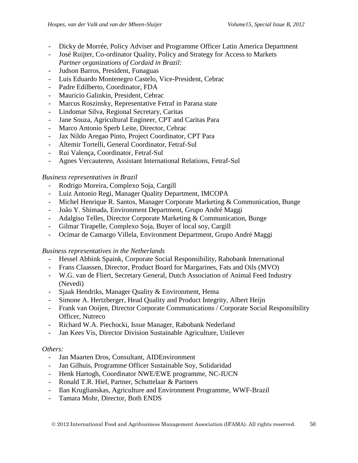- Dicky de Morrée, Policy Adviser and Programme Officer Latin America Department
- José Ruijter, Co-ordinator Quality, Policy and Strategy for Access to Markets *Partner organizations of Cordaid in Brazil:*
- Judson Barros, President, Funaguas
- Luis Eduardo Montenegro Castelo, Vice-President, Cebrac
- Padre Edilberto, Coordinator, FDA
- Mauricio Galinkin, President, Cebrac
- Marcus Roszinsky, Representative Fetraf in Parana state
- Lindomar Silva, Regional Secretary, Caritas
- Jane Souza, Agricultural Engineer, CPT and Caritas Para
- Marco Antonio Sperb Leite, Director, Cebrac
- Jax Nildo Aregao Pinto, Project Coordinator, CPT Para
- Altemir Tortelli, General Coordinator, Fetraf-Sul
- Rui Valença, Coordinator, Fetraf-Sul
- Agnes Vercauteren, Assistant International Relations, Fetraf-Sul

### *Business representatives in Brazil*

- Rodrigo Moreira, Complexo Soja, Cargill
- Luiz Antonio Regi, Manager Quality Department, IMCOPA
- Michel Henrique R. Santos, Manager Corporate Marketing & Communication, Bunge
- João Y. Shimada, Environment Department, Grupo André Maggi
- Adalgiso Telles, Director Corporate Marketing & Communication, Bunge
- Gilmar Tirapelle, Complexo Soja, Buyer of local soy, Cargill
- Ocimar de Camargo Villela, Environment Department, Grupo André Maggi

### *Business representatives in the Netherlands*

- Hessel Abbink Spaink, Corporate Social Responsibility, Rabobank International
- Frans Claassen, Director, Product Board for Margarines, Fats and Oils (MVO)
- W.G. van de Fliert, Secretary General, Dutch Association of Animal Feed Industry (Nevedi)
- Sjaak Hendriks, Manager Quality & Environment, Hema
- Simone A. Hertzberger, Head Quality and Product Integrity, Albert Heijn
- Frank van Ooijen, Director Corporate Communications / Corporate Social Responsibility Officer, Nutreco
- Richard W.A. Piechocki, Issue Manager, Rabobank Nederland
- Jan Kees Vis, Director Division Sustainable Agriculture, Unilever

### *Others:*

- Jan Maarten Dros, Consultant, AIDEnvironment
- Jan Gilhuis, Programme Officer Sustainable Soy, Solidaridad
- Henk Hartogh, Coordinator NWE/EWE programme, NC-IUCN
- Ronald T.R. Hiel, Partner, Schuttelaar & Partners
- Ilan Kruglianskas, Agriculture and Environment Programme, WWF-Brazil
- Tamara Mohr, Director, Both ENDS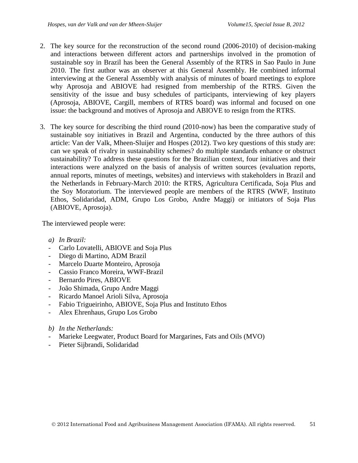- 2. The key source for the reconstruction of the second round (2006-2010) of decision-making and interactions between different actors and partnerships involved in the promotion of sustainable soy in Brazil has been the General Assembly of the RTRS in Sao Paulo in June 2010. The first author was an observer at this General Assembly. He combined informal interviewing at the General Assembly with analysis of minutes of board meetings to explore why Aprosoja and ABIOVE had resigned from membership of the RTRS. Given the sensitivity of the issue and busy schedules of participants, interviewing of key players (Aprosoja, ABIOVE, Cargill, members of RTRS board) was informal and focused on one issue: the background and motives of Aprosoja and ABIOVE to resign from the RTRS.
- 3. The key source for describing the third round (2010-now) has been the comparative study of sustainable soy initiatives in Brazil and Argentina, conducted by the three authors of this article: Van der Valk, Mheen-Sluijer and Hospes (2012). Two key questions of this study are: can we speak of rivalry in sustainability schemes? do multiple standards enhance or obstruct sustainability? To address these questions for the Brazilian context, four initiatives and their interactions were analyzed on the basis of analysis of written sources (evaluation reports, annual reports, minutes of meetings, websites) and interviews with stakeholders in Brazil and the Netherlands in February-March 2010: the RTRS, Agricultura Certificada, Soja Plus and the Soy Moratorium. The interviewed people are members of the RTRS (WWF, Instituto Ethos, Solidaridad, ADM, Grupo Los Grobo, Andre Maggi) or initiators of Soja Plus (ABIOVE, Aprosoja).

The interviewed people were:

- *a) In Brazil:*
- Carlo Lovatelli, ABIOVE and Soja Plus
- Diego di Martino, ADM Brazil
- Marcelo Duarte Monteiro, Aprosoja
- Cassio Franco Moreira, WWF-Brazil
- Bernardo Pires, ABIOVE
- João Shimada, Grupo Andre Maggi
- Ricardo Manoel Arioli Silva, Aprosoja
- Fabio Trigueirinho, ABIOVE, Soja Plus and Instituto Ethos
- Alex Ehrenhaus, Grupo Los Grobo
- *b) In the Netherlands:*
- Marieke Leegwater, Product Board for Margarines, Fats and Oils (MVO)
- Pieter Sijbrandi, Solidaridad